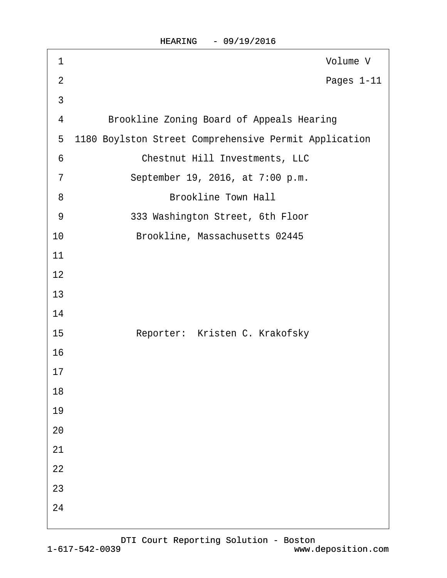| 1               | Volume V                                              |
|-----------------|-------------------------------------------------------|
| $\overline{2}$  | Pages 1-11                                            |
| 3               |                                                       |
| 4               | <b>Brookline Zoning Board of Appeals Hearing</b>      |
| 5               | 1180 Boylston Street Comprehensive Permit Application |
| $6\phantom{1}6$ | <b>Chestnut Hill Investments, LLC</b>                 |
| $\overline{7}$  | September 19, 2016, at 7:00 p.m.                      |
| 8               | <b>Brookline Town Hall</b>                            |
| 9               | 333 Washington Street, 6th Floor                      |
| 10              | Brookline, Massachusetts 02445                        |
| 11              |                                                       |
| 12              |                                                       |
| 13              |                                                       |
| 14              |                                                       |
| 15              | Reporter: Kristen C. Krakofsky                        |
| 16              |                                                       |
| 17              |                                                       |
| 18              |                                                       |
| 19              |                                                       |
| 20              |                                                       |
| 21              |                                                       |
| 22              |                                                       |
| 23              |                                                       |
| 24              |                                                       |
|                 |                                                       |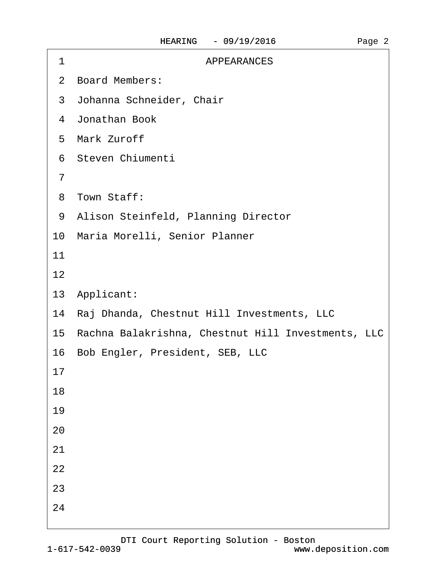| <b>APPEARANCES</b><br>1                               |
|-------------------------------------------------------|
| 2 Board Members:                                      |
| 3 Johanna Schneider, Chair                            |
| 4 Jonathan Book                                       |
| 5 Mark Zuroff                                         |
| 6 Steven Chiumenti                                    |
| $\overline{7}$                                        |
| 8 Town Staff:                                         |
| 9 Alison Steinfeld, Planning Director                 |
| 10 Maria Morelli, Senior Planner                      |
| 11                                                    |
| 12                                                    |
| 13 Applicant:                                         |
| 14 Raj Dhanda, Chestnut Hill Investments, LLC         |
| 15 Rachna Balakrishna, Chestnut Hill Investments, LLC |
| 16 Bob Engler, President, SEB, LLC                    |
| 17                                                    |
| 18                                                    |
| 19                                                    |
| 20                                                    |
| 21                                                    |
| 22                                                    |
| 23                                                    |
| 24                                                    |
|                                                       |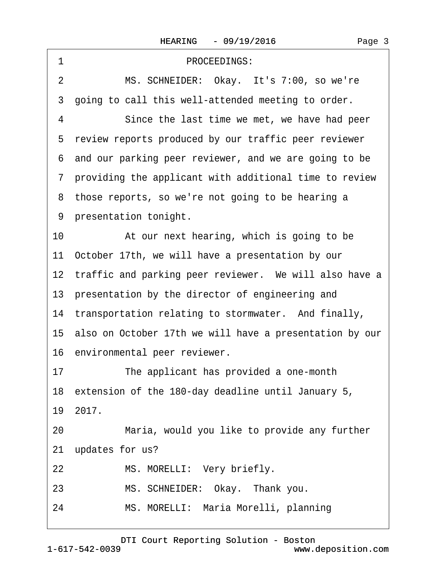<span id="page-2-0"></span>

| PROCEEDINGS:<br>1                                          |  |  |  |
|------------------------------------------------------------|--|--|--|
| MS. SCHNEIDER: Okay. It's 7:00, so we're<br>2              |  |  |  |
| going to call this well-attended meeting to order.<br>3    |  |  |  |
| 4<br>Since the last time we met, we have had peer          |  |  |  |
| 5 review reports produced by our traffic peer reviewer     |  |  |  |
| 6 and our parking peer reviewer, and we are going to be    |  |  |  |
| 7 providing the applicant with additional time to review   |  |  |  |
| 8 those reports, so we're not going to be hearing a        |  |  |  |
| 9 presentation tonight.                                    |  |  |  |
| 10<br>At our next hearing, which is going to be            |  |  |  |
| 11 October 17th, we will have a presentation by our        |  |  |  |
| 12 traffic and parking peer reviewer. We will also have a  |  |  |  |
| 13 presentation by the director of engineering and         |  |  |  |
| 14 transportation relating to stormwater. And finally,     |  |  |  |
| 15 also on October 17th we will have a presentation by our |  |  |  |
| 16 environmental peer reviewer.                            |  |  |  |
| 17<br>The applicant has provided a one-month               |  |  |  |
| 18 extension of the 180-day deadline until January 5,      |  |  |  |
| 19 2017.                                                   |  |  |  |
| Maria, would you like to provide any further<br>20         |  |  |  |
| updates for us?<br>21                                      |  |  |  |
| 22<br>MS. MORELLI: Very briefly.                           |  |  |  |
| MS. SCHNEIDER: Okay. Thank you.<br>23                      |  |  |  |
| MS. MORELLI: Maria Morelli, planning<br>24                 |  |  |  |
|                                                            |  |  |  |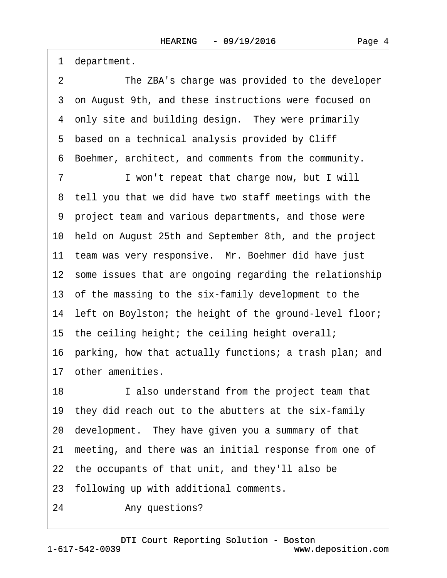<span id="page-3-0"></span>·1· department.

2 The ZBA's charge was provided to the developer ·3· on August 9th, and these instructions were focused on 4 only site and building design. They were primarily 5 based on a technical analysis provided by Cliff ·6· Boehmer, architect, and comments from the community. 7 I won't repeat that charge now, but I will ·8· tell you that we did have two staff meetings with the ·9· project team and various departments, and those were 10· held on August 25th and September 8th, and the project 11 team was very responsive. Mr. Boehmer did have just 12 some issues that are ongoing regarding the relationship 13 of the massing to the six-family development to the 14 left on Boylston; the height of the ground-level floor; 15 the ceiling height; the ceiling height overall; 16· parking, how that actually functions; a trash plan; and 17 other amenities. 18 I also understand from the project team that 19· they did reach out to the abutters at the six-family 20· development.· They have given you a summary of that 21 meeting, and there was an initial response from one of 22 the occupants of that unit, and they'll also be 23· following up with additional comments.

24 • Any questions?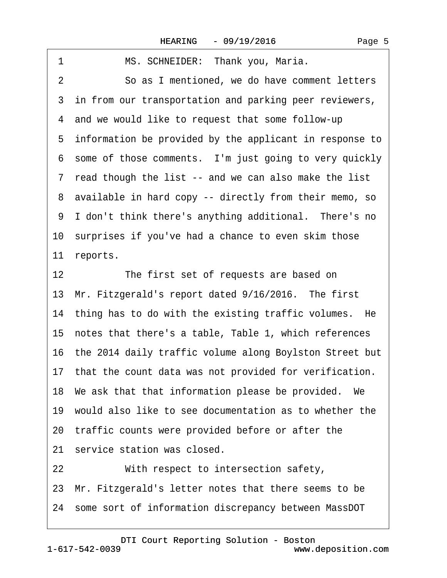<span id="page-4-0"></span>

| 1<br>MS. SCHNEIDER: Thank you, Maria.                      |
|------------------------------------------------------------|
| So as I mentioned, we do have comment letters<br>2         |
| 3 in from our transportation and parking peer reviewers,   |
| 4 and we would like to request that some follow-up         |
| 5 information be provided by the applicant in response to  |
| 6 some of those comments. I'm just going to very quickly   |
| 7 read though the list -- and we can also make the list    |
| 8 available in hard copy -- directly from their memo, so   |
| 9 I don't think there's anything additional. There's no    |
| 10 surprises if you've had a chance to even skim those     |
| 11 reports.                                                |
| 12<br>The first set of requests are based on               |
| 13 Mr. Fitzgerald's report dated 9/16/2016. The first      |
| 14 thing has to do with the existing traffic volumes. He   |
| 15 notes that there's a table, Table 1, which references   |
| 16 the 2014 daily traffic volume along Boylston Street but |
| 17 that the count data was not provided for verification.  |
| 18 We ask that that information please be provided. We     |
| 19 would also like to see documentation as to whether the  |
| 20 traffic counts were provided before or after the        |
| 21 service station was closed.                             |
| 22<br>With respect to intersection safety,                 |
| 23 Mr. Fitzgerald's letter notes that there seems to be    |
| 24 some sort of information discrepancy between MassDOT    |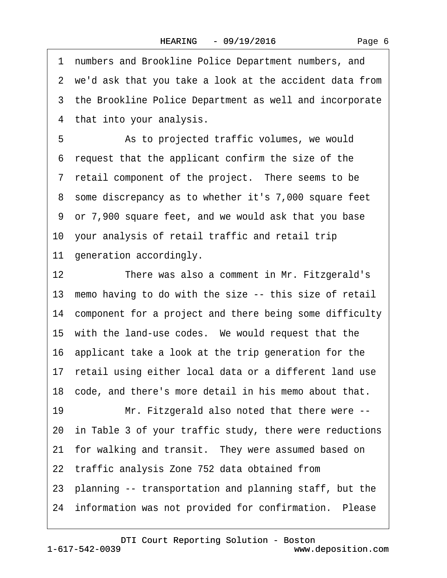<span id="page-5-0"></span>·1· numbers and Brookline Police Department numbers, and 2 we'd ask that you take a look at the accident data from 3 the Brookline Police Department as well and incorporate 4 that into your analysis. 5 • Sale as to projected traffic volumes, we would ·6· request that the applicant confirm the size of the 7 retail component of the project. There seems to be ·8· some discrepancy as to whether it's 7,000 square feet ·9· or 7,900 square feet, and we would ask that you base 10 your analysis of retail traffic and retail trip 11 generation accordingly. 12 There was also a comment in Mr. Fitzgerald's 13 memo having to do with the size -- this size of retail 14 component for a project and there being some difficulty 15 with the land-use codes. We would request that the 16· applicant take a look at the trip generation for the 17 retail using either local data or a different land use 18· code, and there's more detail in his memo about that. 19 Mr. Fitzgerald also noted that there were --20· in Table 3 of your traffic study, there were reductions 21 for walking and transit. They were assumed based on 22 traffic analysis Zone 752 data obtained from 23· planning -- transportation and planning staff, but the 24 information was not provided for confirmation. Please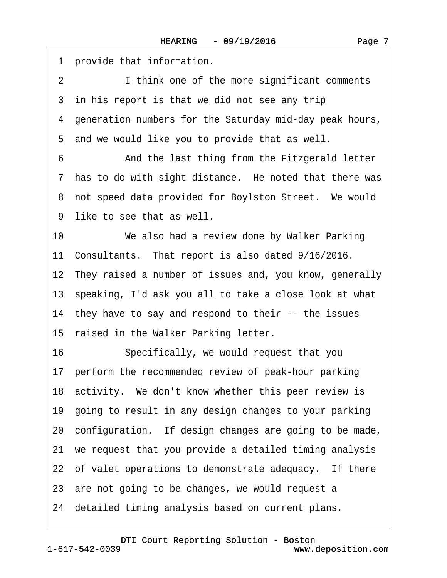<span id="page-6-0"></span>1 provide that information. 2 I think one of the more significant comments 3 in his report is that we did not see any trip ·4· generation numbers for the Saturday mid-day peak hours, 5 and we would like you to provide that as well. 6 **• • And the last thing from the Fitzgerald letter** 7 has to do with sight distance. He noted that there was 8 not speed data provided for Boylston Street. We would 9 like to see that as well. 10 We also had a review done by Walker Parking 11 Consultants. That report is also dated 9/16/2016. 12 They raised a number of issues and, you know, generally 13· speaking, I'd ask you all to take a close look at what 14 they have to say and respond to their -- the issues 15 raised in the Walker Parking letter. 16 Specifically, we would request that you 17 perform the recommended review of peak-hour parking 18 activity. We don't know whether this peer review is 19· going to result in any design changes to your parking 20· configuration.· If design changes are going to be made, 21· we request that you provide a detailed timing analysis 22 of valet operations to demonstrate adequacy. If there 23 are not going to be changes, we would request a 24· detailed timing analysis based on current plans.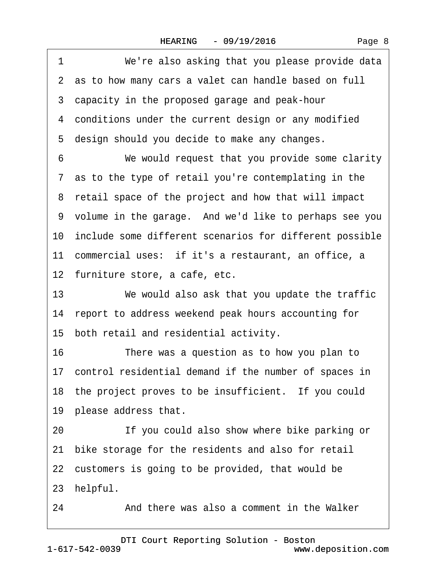<span id="page-7-0"></span>

| 1<br>We're also asking that you please provide data        |
|------------------------------------------------------------|
| 2 as to how many cars a valet can handle based on full     |
| 3 capacity in the proposed garage and peak-hour            |
| 4 conditions under the current design or any modified      |
| 5 design should you decide to make any changes.            |
| We would request that you provide some clarity<br>6        |
| 7 as to the type of retail you're contemplating in the     |
| 8 retail space of the project and how that will impact     |
| 9 volume in the garage. And we'd like to perhaps see you   |
| 10 include some different scenarios for different possible |
| 11 commercial uses: if it's a restaurant, an office, a     |
| 12 furniture store, a cafe, etc.                           |
| 13<br>We would also ask that you update the traffic        |
| 14 report to address weekend peak hours accounting for     |
| 15 both retail and residential activity.                   |
| 16<br>There was a question as to how you plan to           |
| 17 control residential demand if the number of spaces in   |
| 18 the project proves to be insufficient. If you could     |
| 19 please address that.                                    |
| If you could also show where bike parking or<br>20         |
| bike storage for the residents and also for retail<br>21   |
| 22 customers is going to be provided, that would be        |
| 23 helpful.                                                |
| 24<br>And there was also a comment in the Walker           |

1-617-542-0039 [DTI Court Reporting Solution - Boston](http://www.deposition.com)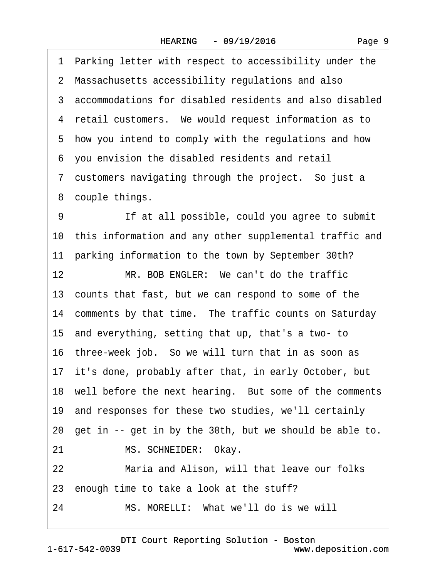<span id="page-8-0"></span>·1· Parking letter with respect to accessibility under the 2 Massachusetts accessibility regulations and also 3 accommodations for disabled residents and also disabled 4 retail customers. We would request information as to ·5· how you intend to comply with the regulations and how ·6· you envision the disabled residents and retail 7 customers navigating through the project. So just a 8 couple things. 9 If at all possible, could you agree to submit 10 this information and any other supplemental traffic and 11 parking information to the town by September 30th? 12 MR. BOB ENGLER: We can't do the traffic 13 counts that fast, but we can respond to some of the 14 comments by that time. The traffic counts on Saturday 15· and everything, setting that up, that's a two- to 16· three-week job.· So we will turn that in as soon as 17 it's done, probably after that, in early October, but 18 well before the next hearing. But some of the comments 19· and responses for these two studies, we'll certainly 20· get in -- get in by the 30th, but we should be able to. 21 MS. SCHNEIDER: Okay. 22 Maria and Alison, will that leave our folks 23 enough time to take a look at the stuff? 24 MS. MORELLI: What we'll do is we will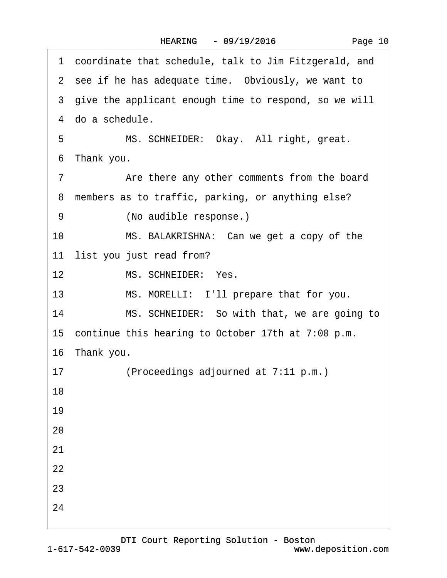<span id="page-9-0"></span> $\lceil$ 

| coordinate that schedule, talk to Jim Fitzgerald, and<br>1 |
|------------------------------------------------------------|
| 2 see if he has adequate time. Obviously, we want to       |
| 3 give the applicant enough time to respond, so we will    |
| 4 do a schedule.                                           |
| MS. SCHNEIDER: Okay. All right, great.<br>5                |
| 6 Thank you.                                               |
| Are there any other comments from the board<br>7           |
| 8 members as to traffic, parking, or anything else?        |
| 9<br>(No audible response.)                                |
| MS. BALAKRISHNA: Can we get a copy of the<br>10            |
| 11 list you just read from?                                |
| 12 <sup>2</sup><br>MS. SCHNEIDER: Yes.                     |
| MS. MORELLI: I'll prepare that for you.<br>13              |
| 14<br>MS. SCHNEIDER: So with that, we are going to         |
| 15 continue this hearing to October 17th at 7:00 p.m.      |
| 16 Thank you.                                              |
| (Proceedings adjourned at 7:11 p.m.)<br>17                 |
| 18                                                         |
| 19                                                         |
| 20                                                         |
| 21                                                         |
| 22                                                         |
| 23                                                         |
| 24                                                         |
|                                                            |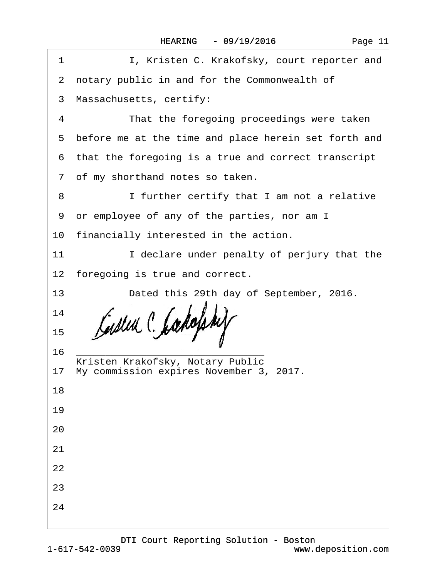| I, Kristen C. Krakofsky, court reporter and<br>1       |  |  |  |
|--------------------------------------------------------|--|--|--|
| 2 notary public in and for the Commonwealth of         |  |  |  |
| 3 Massachusetts, certify:                              |  |  |  |
| That the foregoing proceedings were taken<br>4         |  |  |  |
| 5 before me at the time and place herein set forth and |  |  |  |
| 6 that the foregoing is a true and correct transcript  |  |  |  |
| 7 of my shorthand notes so taken.                      |  |  |  |
| 8<br>I further certify that I am not a relative        |  |  |  |
| 9 or employee of any of the parties, nor am I          |  |  |  |
| 10 financially interested in the action.               |  |  |  |
| I declare under penalty of perjury that the<br>11      |  |  |  |
| 12 foregoing is true and correct.                      |  |  |  |
| 13<br>Dated this 29th day of September, 2016.          |  |  |  |
| 14                                                     |  |  |  |
| 15                                                     |  |  |  |
| 16<br>Kristen Krakofsky, Notary Public                 |  |  |  |
| 17 My commission expires November 3, 2017.             |  |  |  |
| 18                                                     |  |  |  |
| 19                                                     |  |  |  |
| 20                                                     |  |  |  |
| 21                                                     |  |  |  |
| 22                                                     |  |  |  |
| 23                                                     |  |  |  |
| 24                                                     |  |  |  |
|                                                        |  |  |  |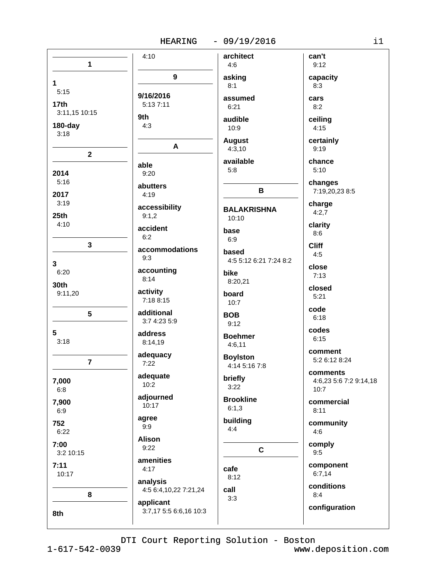| $\mathbf{1}$     | 4:10                                | architect<br>4:6       | can't<br>9:12          |
|------------------|-------------------------------------|------------------------|------------------------|
|                  | 9                                   | asking                 | capacity               |
| 1                |                                     | 8:1                    | 8:3                    |
| 5:15             | 9/16/2016                           | assumed                | cars                   |
| 17 <sub>th</sub> | 5:13 7:11                           | 6:21                   | 8:2                    |
| 3:11,15 10:15    | 9th                                 | audible                | ceiling                |
| $180$ -day       | 4:3                                 | 10:9                   | 4:15                   |
| 3:18             |                                     | <b>August</b>          | certainly              |
|                  | A                                   | 4:3,10                 | 9:19                   |
| $\mathbf{2}$     |                                     | available              | chance                 |
| 2014             | able<br>9:20                        | 5:8                    | 5:10                   |
| 5:16             |                                     |                        | changes                |
| 2017             | abutters<br>4:19                    | В                      | 7:19,20,23 8:5         |
| 3:19             |                                     |                        | charge                 |
| 25 <sub>th</sub> | accessibility<br>9:1,2              | <b>BALAKRISHNA</b>     | 4:2,7                  |
| 4:10             |                                     | 10:10                  | clarity                |
|                  | accident<br>6:2                     | base                   | 8:6                    |
| $\mathbf{3}$     |                                     | 6:9                    | <b>Cliff</b>           |
|                  | accommodations<br>9:3               | based                  | 4:5                    |
| 3                |                                     | 4:5 5:12 6:21 7:24 8:2 | close                  |
| 6:20             | accounting<br>8:14                  | bike                   | 7:13                   |
| 30th             |                                     | 8:20,21                | closed                 |
| 9:11,20          | activity<br>7:18 8:15               | board                  | 5:21                   |
|                  |                                     | 10:7                   | code                   |
| 5                | additional<br>3:7 4:23 5:9          | <b>BOB</b>             | 6:18                   |
|                  |                                     | 9:12                   | codes                  |
| 5<br>3:18        | address<br>8:14,19                  | <b>Boehmer</b>         | 6:15                   |
|                  |                                     | 4:6,11                 | comment                |
| $\overline{7}$   | adequacy<br>7:22                    | <b>Boylston</b>        | 5:2 6:12 8:24          |
|                  |                                     | 4:14 5:16 7:8          | comments               |
| 7,000            | adequate<br>10:2                    | briefly                | 4:6,23 5:6 7:2 9:14,18 |
| 6:8              |                                     | 3:22                   | 10:7                   |
| 7,900            | adjourned<br>10:17                  | <b>Brookline</b>       | commercial             |
| 6:9              |                                     | 6:1,3                  | 8:11                   |
| 752              | agree<br>9:9                        | building               | community              |
| 6:22             |                                     | 4:4                    | 4:6                    |
| 7:00             | <b>Alison</b><br>9:22               |                        | comply                 |
| 3:2 10:15        |                                     | $\mathbf c$            | 9:5                    |
| 7:11             | amenities<br>4:17                   | cafe                   | component              |
| 10:17            |                                     | 8:12                   | 6:7,14                 |
|                  | analysis<br>4:5 6:4,10,22 7:21,24   | call                   | conditions             |
| 8                |                                     | 3:3                    | 8:4                    |
|                  | applicant<br>3:7,17 5:5 6:6,16 10:3 |                        | configuration          |
| 8th              |                                     |                        |                        |
|                  |                                     |                        |                        |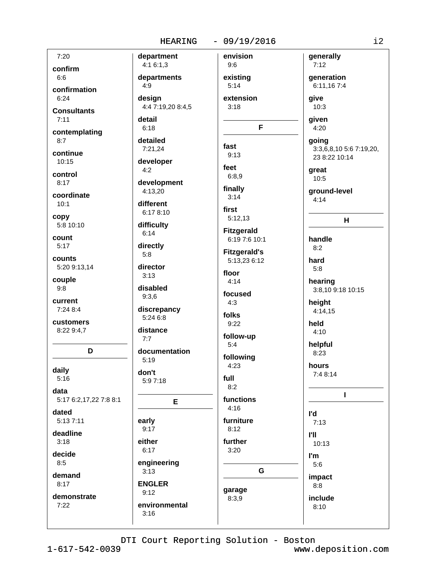| 7:20                   | department             | envision            | generally               |
|------------------------|------------------------|---------------------|-------------------------|
| confirm                | 4:16:1,3               | 9:6                 | 7:12                    |
| 6:6                    | departments            | existing            | generation              |
| confirmation           | 4:9                    | 5:14                | 6:11,16 7:4             |
| 6:24                   | design                 | extension           | give                    |
| <b>Consultants</b>     | 4:4 7:19,20 8:4,5      | 3:18                | 10:3                    |
| 7:11                   | detail                 |                     | given                   |
|                        | 6:18                   | F                   | 4:20                    |
| contemplating<br>8:7   | detailed               |                     | going                   |
|                        | 7:21,24                | fast                | 3:3,6,8,10 5:6 7:19,20, |
| continue<br>10:15      | developer              | 9:13                | 23 8:22 10:14           |
|                        | 4:2                    | feet                | great                   |
| control<br>8:17        |                        | 6:8,9               | 10:5                    |
|                        | development<br>4:13,20 | finally             | ground-level            |
| coordinate             | different              | 3:14                | 4:14                    |
| 10:1                   | 6:17 8:10              | first               |                         |
| copy                   |                        | 5:12,13             | н                       |
| 5:8 10:10              | difficulty<br>6:14     | <b>Fitzgerald</b>   |                         |
| count                  |                        | 6:19 7:6 10:1       | handle                  |
| 5:17                   | directly<br>5:8        | <b>Fitzgerald's</b> | 8:2                     |
| counts                 |                        | 5:13,23 6:12        | hard                    |
| 5:20 9:13,14           | director               | floor               | 5:8                     |
| couple                 | 3:13                   | 4:14                | hearing                 |
| 9:8                    | disabled               | focused             | 3:8,10 9:18 10:15       |
| current                | 9:3,6                  | 4:3                 | height                  |
| 7:24 8:4               | discrepancy            | folks               | 4:14,15                 |
| customers              | 5:24 6:8               | 9:22                | held                    |
| 8:22 9:4,7             | distance               | follow-up           | 4:10                    |
|                        | 7:7                    | 5:4                 | helpful                 |
| D                      | documentation          |                     | 8:23                    |
|                        | 5:19                   | following<br>4:23   | hours                   |
| daily                  | don't                  |                     | 7:4 8:14                |
| 5:16                   | 5:97:18                | full<br>8:2         |                         |
| data                   |                        |                     | ı                       |
| 5:17 6:2,17,22 7:8 8:1 | Е                      | functions<br>4:16   |                         |
| dated                  |                        |                     | l'd                     |
| 5:13 7:11              | early<br>9:17          | furniture<br>8:12   | 7:13                    |
| deadline               |                        |                     | <b>I'll</b>             |
| 3:18                   | either<br>6:17         | further<br>3:20     | 10:13                   |
| decide                 |                        |                     | l'm                     |
| 8:5                    | engineering            | G                   | 5:6                     |
| demand                 | 3:13                   |                     | impact                  |
| 8:17                   | <b>ENGLER</b>          | garage              | 8:8                     |
| demonstrate            | 9:12                   | 8:3,9               | include                 |
| 7:22                   | environmental          |                     | 8:10                    |
|                        | 3:16                   |                     |                         |
|                        |                        |                     |                         |

DTI Court Reporting Solution - Boston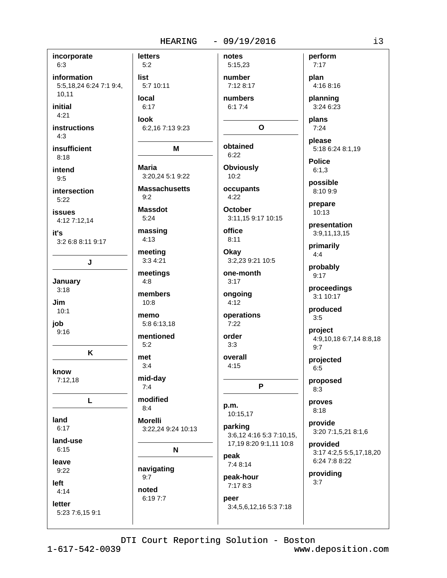### **HEARING**

#### $-09/19/2016$

incorporate **letters**  $6:3$  $5:2$ information list 5:5.18.24 6:24 7:1 9:4. 5:7 10:11  $10.11$ local initial  $6:17$  $4:21$ look **instructions** 6:2.16 7:13 9:23  $4.3$ insufficient M  $8:18$ **Maria** intend 3:20,24 5:1 9:22  $9:5$ **Massachusetts** intersection  $9:2$  $5:22$ **Massdot issues**  $5:24$ 4:12 7:12.14 massing it's  $4:13$  $8:11$ 3:2 6:8 8:11 9:17 meeting 3:3 4:21 J meetings January  $4:8$  $3:18$ members Jim  $10:8$  $10:1$ memo job 5:8 6:13,18  $9:16$ mentioned  $5:2$ K met  $3:4$ know mid-day  $7:12,18$  $7:4$ modified L  $8:4$ land **Morelli**  $6:17$ 3:22,24 9:24 10:13 land-use  $6:15$ N leave navigating  $9:22$  $9:7$ left noted  $4:14$ 6:19 7:7 letter 5:23 7:6.15 9:1

notes 5:15,23 number 7:12 8:17 numbers  $6:17:4$ 

# O

obtained  $6.22$ **Obviously** 

 $10:2$ occupants

 $4:22$ **October** 

3:11.15 9:17 10:15 office

Okay 3:2.23 9:21 10:5

one-month  $3:17$ 

ongoing  $4:12$ 

operations  $7:22$ 

```
order
3:3
```
overall  $4:15$ 

P

p.m. 10:15,17

parking 3:6,12 4:16 5:3 7:10,15, 17,19 8:20 9:1,11 10:8

peak  $7:48:14$ 

peak-hour 7:17 8:3 peer

3:4,5,6,12,16 5:3 7:18

plan 4:16 8:16 planning

perform

 $7:17$ 

3:24 6:23 plans

 $7:24$ 

please 5:18 6:24 8:1,19

**Police**  $6:1.3$ 

possible 8:10 9:9

prepare  $10:13$ 

presentation 3:9,11,13,15

primarily  $4:4$ 

probably  $9:17$ 

proceedings 3:1 10:17

produced

 $3:5$ 

project 4:9,10,18 6:7,14 8:8,18  $9:7$ 

projected  $6:5$ 

proposed  $8:3$ 

proves  $8:18$ 

provide 3:20 7:1,5,21 8:1,6

provided 3:17 4:2,5 5:5,17,18,20 6:24 7:8 8:22

providing  $3:7$ 

DTI Court Reporting Solution - Boston

 $1 - 617 - 542 - 0039$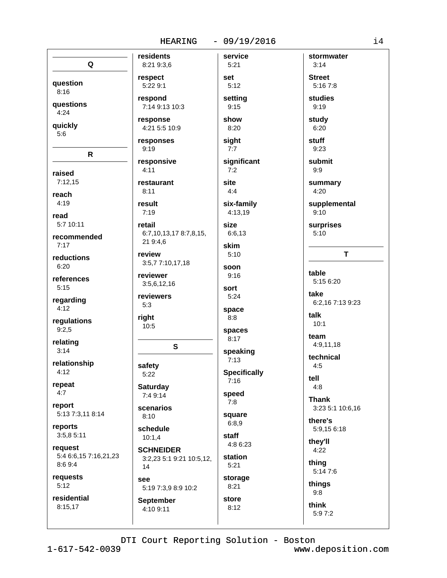#### $-09/19/2016$ HEARING

| Q                     | residents<br>8:21 9:3.6  | servio<br>5:21  |
|-----------------------|--------------------------|-----------------|
| question              | respect<br>5:22 9:1      | set<br>5:12     |
| 8:16                  | respond                  | settin          |
| questions             | 7:14 9:13 10:3           | 9:15            |
| 4:24                  | response                 | show            |
| quickly               | 4:21 5:5 10:9            | 8:20            |
| 5:6                   | responses<br>9:19        | sight<br>7:7    |
| R                     | responsive               | signif          |
| raised                | 4:11                     | 7:2             |
| 7:12,15               | restaurant               | site            |
| reach                 | 8:11                     | 4:4             |
| 4:19                  | result<br>7:19           | six-fa<br>4:13, |
| read                  | retail                   | size            |
| 5:7 10:11             | 6:7,10,13,17 8:7,8,15,   | 6:6,1           |
| recommended           | 21 9:4,6                 | skim            |
| 7:17                  | review                   | 5:10            |
| reductions            | 3:5,77:10,17,18          | soon            |
| 6:20                  | reviewer                 | 9:16            |
| references            | 3:5,6,12,16              | sort            |
| 5:15                  | reviewers                | 5:24            |
| regarding<br>4:12     | 5:3                      | space           |
| regulations           | right                    | 8:8             |
| 9:2,5                 | 10:5                     | space           |
| relating<br>3:14      | S                        | 8:17<br>speal   |
| relationship          | safety                   | 7:13            |
| 4:12                  | 5:22                     | Speci           |
| repeat                | <b>Saturday</b>          | 7:16            |
| 4:7                   | 7:4 9:14                 | speed           |
| report                | scenarios                | 7:8             |
| 5:13 7:3,11 8:14      | 8:10                     | squar           |
| reports               | schedule                 | 6:8,9           |
| 3:5,8 5:11            | 10:1,4                   | staff           |
| request               | <b>SCHNEIDER</b>         | 4:86            |
| 5:4 6:6,15 7:16,21,23 | 3:2,23 5:1 9:21 10:5,12, | statio          |
| 8:69::4               | 14                       | 5:21            |
| requests              | see                      | stora           |
| 5:12                  | 5:19 7:3,9 8:9 10:2      | 8:21            |
| residential           | <b>September</b>         | store           |
| 8:15,17               | 4.109.11                 | 8:12            |

rvice  $:21$  $:12$ tting :15 ow  $: 20$ **aht**  $:7$ **unificant**  $:2^{\circ}$ :4 **c-family** 13,19 e:  $:6,13$ im  $10$ on  $:16$ rt  $: 24$ ace  $8:$ aces  $:17$ eaking  $:13$ ecifically  $:16$ eed  $8:$ uare  $.8,9$ aff :8 6:23 ation  $:21$ orage  $:21$ 

**Street**  $5:167:8$ studies  $9:19$ study  $6:20$ stuff  $9:23$ submit  $9:9$ summary  $4:20$ supplemental  $9:10$ surprises  $5:10$  $\mathsf{T}$ table 5:15 6:20 take 6:2.16 7:13 9:23 talk  $10:1$ team 4:9,11,18 technical  $4:5$ tell  $4:8$ **Thank** 3:23 5:1 10:6,16 there's 5:9,15 6:18 they'll  $4:22$ thing 5:14 7:6 things  $9:8$ 

stormwater

 $3:14$ 

4:10 9:11

DTI Court Reporting Solution - Boston

think

5:97:2